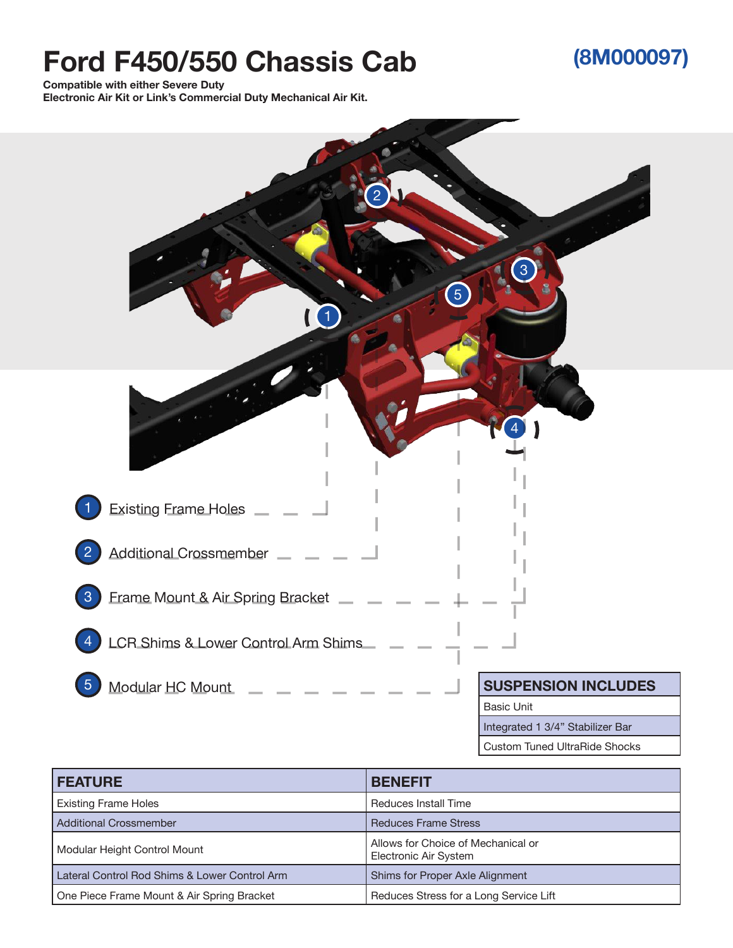## **Ford F450/550 Chassis Cab**

## **(8M000097)**

**Compatible with either Severe Duty** 

**Electronic Air Kit or Link's Commercial Duty Mechanical Air Kit.**



Custom Tuned UltraRide Shocks

| <b>FEATURE</b>                                | <b>BENEFIT</b>                                              |
|-----------------------------------------------|-------------------------------------------------------------|
| <b>Existing Frame Holes</b>                   | <b>Reduces Install Time</b>                                 |
| <b>Additional Crossmember</b>                 | <b>Reduces Frame Stress</b>                                 |
| Modular Height Control Mount                  | Allows for Choice of Mechanical or<br>Electronic Air System |
| Lateral Control Rod Shims & Lower Control Arm | Shims for Proper Axle Alignment                             |
| One Piece Frame Mount & Air Spring Bracket    | Reduces Stress for a Long Service Lift                      |